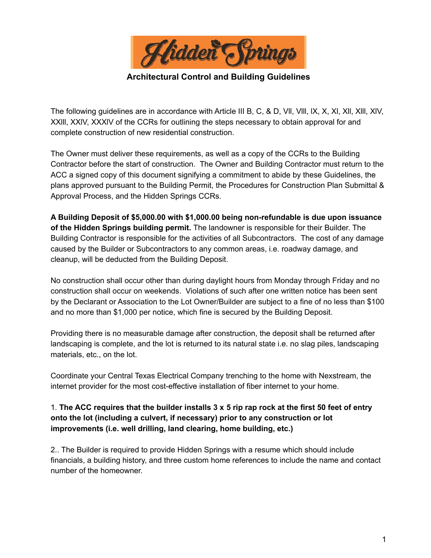

**Architectural Control and Building Guidelines**

The following guidelines are in accordance with Article III B, C, & D, VII, VIII, IX, X, XI, XII, XIII, XIV, XXlll, XXlV, XXXlV of the CCRs for outlining the steps necessary to obtain approval for and complete construction of new residential construction.

The Owner must deliver these requirements, as well as a copy of the CCRs to the Building Contractor before the start of construction. The Owner and Building Contractor must return to the ACC a signed copy of this document signifying a commitment to abide by these Guidelines, the plans approved pursuant to the Building Permit, the Procedures for Construction Plan Submittal & Approval Process, and the Hidden Springs CCRs.

**A Building Deposit of \$5,000.00 with \$1,000.00 being non-refundable is due upon issuance of the Hidden Springs building permit.** The landowner is responsible for their Builder. The Building Contractor is responsible for the activities of all Subcontractors. The cost of any damage caused by the Builder or Subcontractors to any common areas, i.e. roadway damage, and cleanup, will be deducted from the Building Deposit.

No construction shall occur other than during daylight hours from Monday through Friday and no construction shall occur on weekends. Violations of such after one written notice has been sent by the Declarant or Association to the Lot Owner/Builder are subject to a fine of no less than \$100 and no more than \$1,000 per notice, which fine is secured by the Building Deposit.

Providing there is no measurable damage after construction, the deposit shall be returned after landscaping is complete, and the lot is returned to its natural state i.e. no slag piles, landscaping materials, etc., on the lot.

Coordinate your Central Texas Electrical Company trenching to the home with Nexstream, the internet provider for the most cost-effective installation of fiber internet to your home.

## 1. **The ACC requires that the builder installs 3 x 5 rip rap rock at the first 50 feet of entry onto the lot (including a culvert, if necessary) prior to any construction or lot improvements (i.e. well drilling, land clearing, home building, etc.)**

2.. The Builder is required to provide Hidden Springs with a resume which should include financials, a building history, and three custom home references to include the name and contact number of the homeowner.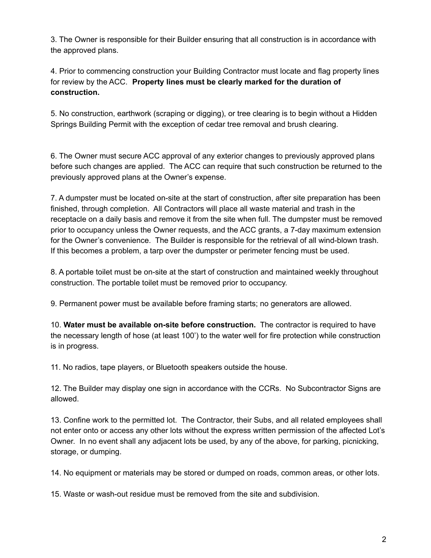3. The Owner is responsible for their Builder ensuring that all construction is in accordance with the approved plans.

4. Prior to commencing construction your Building Contractor must locate and flag property lines for review by the ACC. **Property lines must be clearly marked for the duration of construction.**

5. No construction, earthwork (scraping or digging), or tree clearing is to begin without a Hidden Springs Building Permit with the exception of cedar tree removal and brush clearing.

6. The Owner must secure ACC approval of any exterior changes to previously approved plans before such changes are applied. The ACC can require that such construction be returned to the previously approved plans at the Owner's expense.

7. A dumpster must be located on-site at the start of construction, after site preparation has been finished, through completion. All Contractors will place all waste material and trash in the receptacle on a daily basis and remove it from the site when full. The dumpster must be removed prior to occupancy unless the Owner requests, and the ACC grants, a 7-day maximum extension for the Owner's convenience. The Builder is responsible for the retrieval of all wind-blown trash. If this becomes a problem, a tarp over the dumpster or perimeter fencing must be used.

8. A portable toilet must be on-site at the start of construction and maintained weekly throughout construction. The portable toilet must be removed prior to occupancy.

9. Permanent power must be available before framing starts; no generators are allowed.

10. **Water must be available on-site before construction.** The contractor is required to have the necessary length of hose (at least 100') to the water well for fire protection while construction is in progress.

11. No radios, tape players, or Bluetooth speakers outside the house.

12. The Builder may display one sign in accordance with the CCRs. No Subcontractor Signs are allowed.

13. Confine work to the permitted lot. The Contractor, their Subs, and all related employees shall not enter onto or access any other lots without the express written permission of the affected Lot's Owner. In no event shall any adjacent lots be used, by any of the above, for parking, picnicking, storage, or dumping.

14. No equipment or materials may be stored or dumped on roads, common areas, or other lots.

15. Waste or wash-out residue must be removed from the site and subdivision.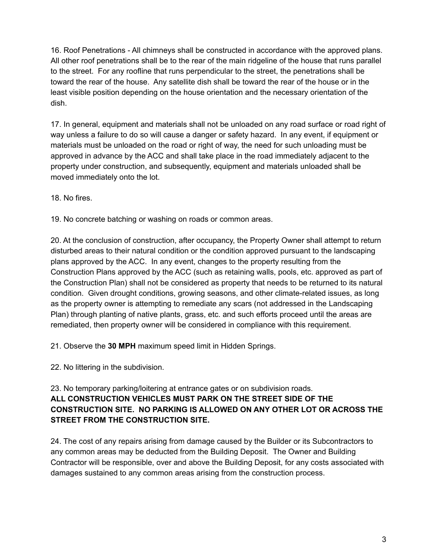16. Roof Penetrations - All chimneys shall be constructed in accordance with the approved plans. All other roof penetrations shall be to the rear of the main ridgeline of the house that runs parallel to the street. For any roofline that runs perpendicular to the street, the penetrations shall be toward the rear of the house. Any satellite dish shall be toward the rear of the house or in the least visible position depending on the house orientation and the necessary orientation of the dish.

17. In general, equipment and materials shall not be unloaded on any road surface or road right of way unless a failure to do so will cause a danger or safety hazard. In any event, if equipment or materials must be unloaded on the road or right of way, the need for such unloading must be approved in advance by the ACC and shall take place in the road immediately adjacent to the property under construction, and subsequently, equipment and materials unloaded shall be moved immediately onto the lot.

18. No fires.

19. No concrete batching or washing on roads or common areas.

20. At the conclusion of construction, after occupancy, the Property Owner shall attempt to return disturbed areas to their natural condition or the condition approved pursuant to the landscaping plans approved by the ACC. In any event, changes to the property resulting from the Construction Plans approved by the ACC (such as retaining walls, pools, etc. approved as part of the Construction Plan) shall not be considered as property that needs to be returned to its natural condition. Given drought conditions, growing seasons, and other climate-related issues, as long as the property owner is attempting to remediate any scars (not addressed in the Landscaping Plan) through planting of native plants, grass, etc. and such efforts proceed until the areas are remediated, then property owner will be considered in compliance with this requirement.

21. Observe the **30 MPH** maximum speed limit in Hidden Springs.

22. No littering in the subdivision.

## 23. No temporary parking/loitering at entrance gates or on subdivision roads. **ALL CONSTRUCTION VEHICLES MUST PARK ON THE STREET SIDE OF THE CONSTRUCTION SITE. NO PARKING IS ALLOWED ON ANY OTHER LOT OR ACROSS THE STREET FROM THE CONSTRUCTION SITE.**

24. The cost of any repairs arising from damage caused by the Builder or its Subcontractors to any common areas may be deducted from the Building Deposit. The Owner and Building Contractor will be responsible, over and above the Building Deposit, for any costs associated with damages sustained to any common areas arising from the construction process.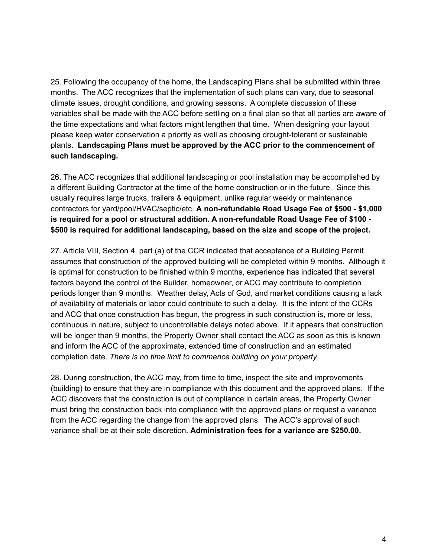25. Following the occupancy of the home, the Landscaping Plans shall be submitted within three months. The ACC recognizes that the implementation of such plans can vary, due to seasonal climate issues, drought conditions, and growing seasons. A complete discussion of these variables shall be made with the ACC before settling on a final plan so that all parties are aware of the time expectations and what factors might lengthen that time. When designing your layout please keep water conservation a priority as well as choosing drought-tolerant or sustainable plants. **Landscaping Plans must be approved by the ACC prior to the commencement of such landscaping.**

26. The ACC recognizes that additional landscaping or pool installation may be accomplished by a different Building Contractor at the time of the home construction or in the future. Since this usually requires large trucks, trailers & equipment, unlike regular weekly or maintenance contractors for yard/pool/HVAC/septic/etc. **A non-refundable Road Usage Fee of \$500 - \$1,000 is required for a pool or structural addition. A non-refundable Road Usage Fee of \$100 - \$500 is required for additional landscaping, based on the size and scope of the project.**

27. Article VIII, Section 4, part (a) of the CCR indicated that acceptance of a Building Permit assumes that construction of the approved building will be completed within 9 months. Although it is optimal for construction to be finished within 9 months, experience has indicated that several factors beyond the control of the Builder, homeowner, or ACC may contribute to completion periods longer than 9 months. Weather delay, Acts of God, and market conditions causing a lack of availability of materials or labor could contribute to such a delay. It is the intent of the CCRs and ACC that once construction has begun, the progress in such construction is, more or less, continuous in nature, subject to uncontrollable delays noted above. If it appears that construction will be longer than 9 months, the Property Owner shall contact the ACC as soon as this is known and inform the ACC of the approximate, extended time of construction and an estimated completion date. *There is no time limit to commence building on your property.*

28. During construction, the ACC may, from time to time, inspect the site and improvements (building) to ensure that they are in compliance with this document and the approved plans. If the ACC discovers that the construction is out of compliance in certain areas, the Property Owner must bring the construction back into compliance with the approved plans or request a variance from the ACC regarding the change from the approved plans. The ACC's approval of such variance shall be at their sole discretion. **Administration fees for a variance are \$250.00.**